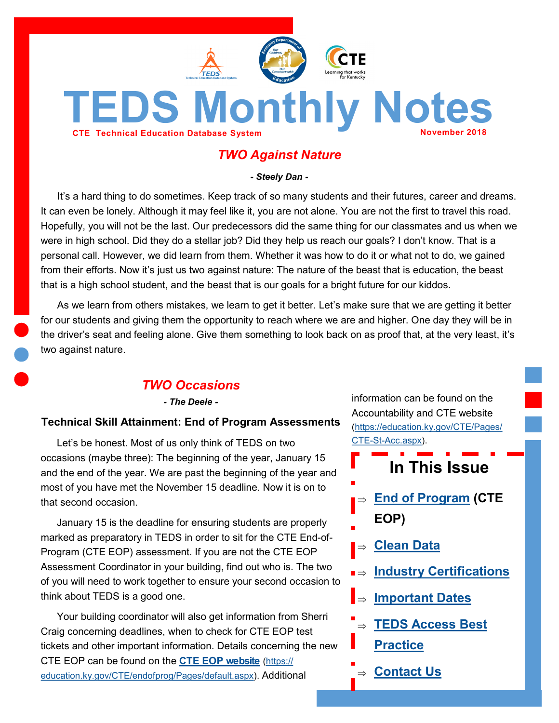<span id="page-0-0"></span>

# *TWO Against Nature*

*- Steely Dan -*

It's a hard thing to do sometimes. Keep track of so many students and their futures, career and dreams. It can even be lonely. Although it may feel like it, you are not alone. You are not the first to travel this road. Hopefully, you will not be the last. Our predecessors did the same thing for our classmates and us when we were in high school. Did they do a stellar job? Did they help us reach our goals? I don't know. That is a personal call. However, we did learn from them. Whether it was how to do it or what not to do, we gained from their efforts. Now it's just us two against nature: The nature of the beast that is education, the beast that is a high school student, and the beast that is our goals for a bright future for our kiddos.

As we learn from others mistakes, we learn to get it better. Let's make sure that we are getting it better for our students and giving them the opportunity to reach where we are and higher. One day they will be in the driver's seat and feeling alone. Give them something to look back on as proof that, at the very least, it's two against nature.

# *TWO Occasions*

*- The Deele -*

#### **Technical Skill Attainment: End of Program Assessments**

Let's be honest. Most of us only think of TEDS on two occasions (maybe three): The beginning of the year, January 15 and the end of the year. We are past the beginning of the year and most of you have met the November 15 deadline. Now it is on to that second occasion.

January 15 is the deadline for ensuring students are properly marked as preparatory in TEDS in order to sit for the CTE End-of-Program (CTE EOP) assessment. If you are not the CTE EOP Assessment Coordinator in your building, find out who is. The two of you will need to work together to ensure your second occasion to think about TEDS is a good one.

Your building coordinator will also get information from Sherri Craig concerning deadlines, when to check for CTE EOP test tickets and other important information. Details concerning the new CTE EOP can be found on the **[CTE EOP website](https://education.ky.gov/CTE/endofprog/Pages/default.aspx)** [\(https://](https://education.ky.gov/CTE/endofprog/Pages/default.aspx) [education.ky.gov/CTE/endofprog/Pages/default.aspx\)](https://education.ky.gov/CTE/endofprog/Pages/default.aspx). Additional

information can be found on the Accountability and CTE website ([https://education.ky.gov/CTE/Pages/](https://education.ky.gov/CTE/Pages/CTE-St-Acc.aspx) CTE-St-[Acc.aspx\)](https://education.ky.gov/CTE/Pages/CTE-St-Acc.aspx).

- **In This Issue**
- **[End of Program](#page-0-0) (CTE EOP)**
- **[Clean Data](#page-1-0)**
- **[Industry Certifications](#page-2-0)**
- **I**⇒ [Important Dates](#page-2-0)
	- **[TEDS Access Best](#page-3-0)**
	- **[Practice](#page-3-0)**
	- **[Contact Us](#page-3-0)**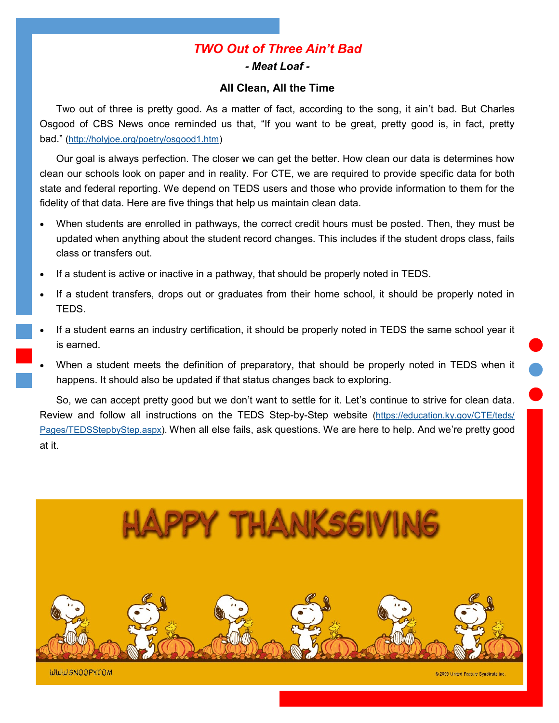# *TWO Out of Three Ain't Bad*

*- Meat Loaf -*

### **All Clean, All the Time**

<span id="page-1-0"></span>Two out of three is pretty good. As a matter of fact, according to the song, it ain't bad. But Charles Osgood of CBS News once reminded us that, "If you want to be great, pretty good is, in fact, pretty bad." [\(http://holyjoe.org/poetry/osgood1.htm\)](http://holyjoe.org/poetry/osgood1.htm) 

Our goal is always perfection. The closer we can get the better. How clean our data is determines how clean our schools look on paper and in reality. For CTE, we are required to provide specific data for both state and federal reporting. We depend on TEDS users and those who provide information to them for the fidelity of that data. Here are five things that help us maintain clean data.

- When students are enrolled in pathways, the correct credit hours must be posted. Then, they must be updated when anything about the student record changes. This includes if the student drops class, fails class or transfers out.
- If a student is active or inactive in a pathway, that should be properly noted in TEDS.
- If a student transfers, drops out or graduates from their home school, it should be properly noted in TEDS.
- If a student earns an industry certification, it should be properly noted in TEDS the same school year it is earned.
- When a student meets the definition of preparatory, that should be properly noted in TEDS when it happens. It should also be updated if that status changes back to exploring.

So, we can accept pretty good but we don't want to settle for it. Let's continue to strive for clean data. Review and follow all instructions on the TEDS Step-by-Step website ([https://education.ky.gov/CTE/teds/](https://education.ky.gov/CTE/teds/Pages/TEDSStepbyStep.aspx) [Pages/TEDSStepbyStep.aspx\)](https://education.ky.gov/CTE/teds/Pages/TEDSStepbyStep.aspx). When all else fails, ask questions. We are here to help. And we're pretty good at it.

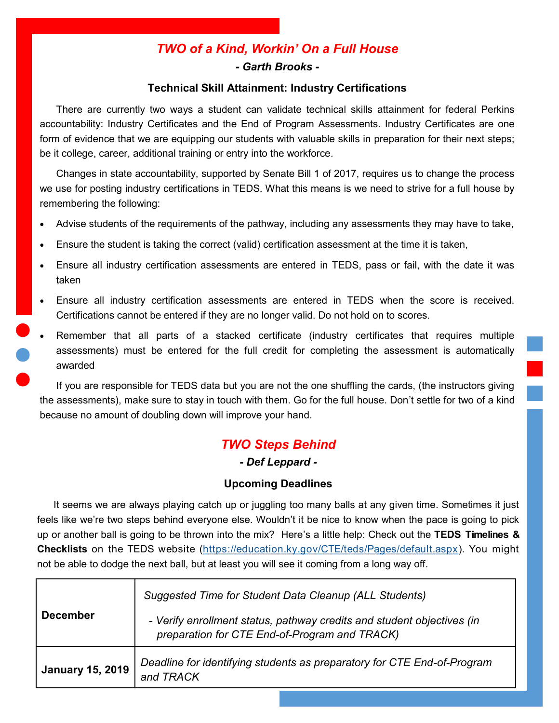# *TWO of a Kind, Workin' On a Full House - Garth Brooks -*

### **Technical Skill Attainment: Industry Certifications**

<span id="page-2-0"></span>There are currently two ways a student can validate technical skills attainment for federal Perkins accountability: Industry Certificates and the End of Program Assessments. Industry Certificates are one form of evidence that we are equipping our students with valuable skills in preparation for their next steps; be it college, career, additional training or entry into the workforce.

Changes in state accountability, supported by Senate Bill 1 of 2017, requires us to change the process we use for posting industry certifications in TEDS. What this means is we need to strive for a full house by remembering the following:

- Advise students of the requirements of the pathway, including any assessments they may have to take,
- Ensure the student is taking the correct (valid) certification assessment at the time it is taken,
- Ensure all industry certification assessments are entered in TEDS, pass or fail, with the date it was taken
- Ensure all industry certification assessments are entered in TEDS when the score is received. Certifications cannot be entered if they are no longer valid. Do not hold on to scores.
- Remember that all parts of a stacked certificate (industry certificates that requires multiple assessments) must be entered for the full credit for completing the assessment is automatically awarded

If you are responsible for TEDS data but you are not the one shuffling the cards, (the instructors giving the assessments), make sure to stay in touch with them. Go for the full house. Don't settle for two of a kind because no amount of doubling down will improve your hand.

# *TWO Steps Behind*

## *- Def Leppard -*

## **Upcoming Deadlines**

It seems we are always playing catch up or juggling too many balls at any given time. Sometimes it just feels like we're two steps behind everyone else. Wouldn't it be nice to know when the pace is going to pick up or another ball is going to be thrown into the mix? Here's a little help: Check out the **TEDS Timelines & Checklists** on the TEDS website [\(https://education.ky.gov/CTE/teds/Pages/default.aspx\)](https://education.ky.gov/CTE/teds/Pages/default.aspx). You might not be able to dodge the next ball, but at least you will see it coming from a long way off.

| <b>December</b>         | Suggested Time for Student Data Cleanup (ALL Students)<br>- Verify enrollment status, pathway credits and student objectives (in<br>preparation for CTE End-of-Program and TRACK) |
|-------------------------|-----------------------------------------------------------------------------------------------------------------------------------------------------------------------------------|
| <b>January 15, 2019</b> | Deadline for identifying students as preparatory for CTE End-of-Program<br>and TRACK                                                                                              |